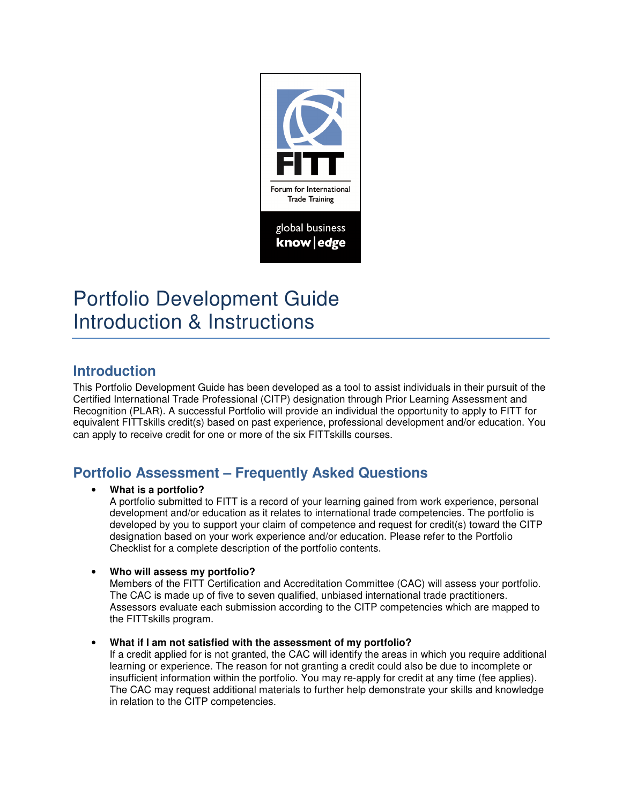

# Portfolio Development Guide Introduction & Instructions

## **Introduction**

This Portfolio Development Guide has been developed as a tool to assist individuals in their pursuit of the Certified International Trade Professional (CITP) designation through Prior Learning Assessment and Recognition (PLAR). A successful Portfolio will provide an individual the opportunity to apply to FITT for equivalent FITTskills credit(s) based on past experience, professional development and/or education. You can apply to receive credit for one or more of the six FITTskills courses.

# **Portfolio Assessment – Frequently Asked Questions**

### • **What is a portfolio?**

A portfolio submitted to FITT is a record of your learning gained from work experience, personal development and/or education as it relates to international trade competencies. The portfolio is developed by you to support your claim of competence and request for credit(s) toward the CITP designation based on your work experience and/or education. Please refer to the Portfolio Checklist for a complete description of the portfolio contents.

### • **Who will assess my portfolio?**

Members of the FITT Certification and Accreditation Committee (CAC) will assess your portfolio. The CAC is made up of five to seven qualified, unbiased international trade practitioners. Assessors evaluate each submission according to the CITP competencies which are mapped to the FITTskills program.

• **What if I am not satisfied with the assessment of my portfolio?**

If a credit applied for is not granted, the CAC will identify the areas in which you require additional learning or experience. The reason for not granting a credit could also be due to incomplete or insufficient information within the portfolio. You may re-apply for credit at any time (fee applies). The CAC may request additional materials to further help demonstrate your skills and knowledge in relation to the CITP competencies.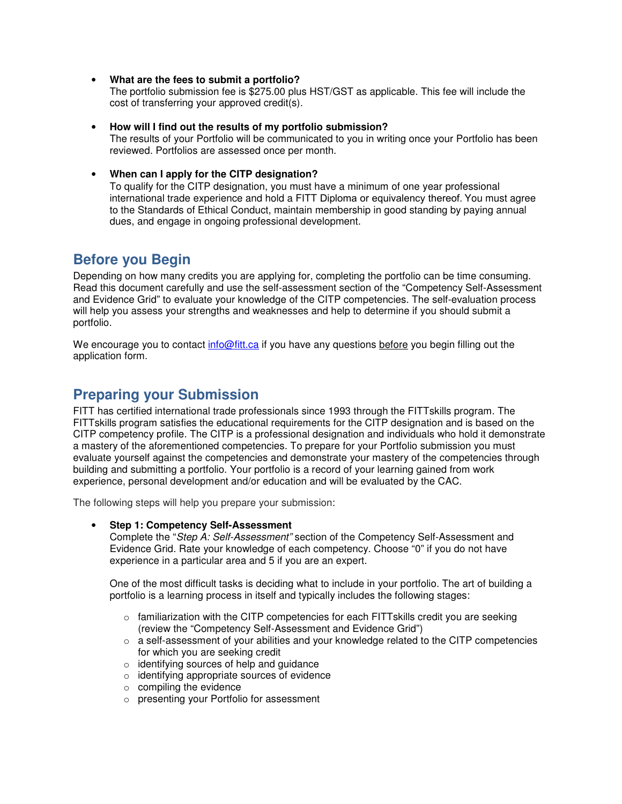• **What are the fees to submit a portfolio?**

The portfolio submission fee is \$275.00 plus HST/GST as applicable. This fee will include the cost of transferring your approved credit(s).

- **How will I find out the results of my portfolio submission?** The results of your Portfolio will be communicated to you in writing once your Portfolio has been reviewed. Portfolios are assessed once per month.
- **When can I apply for the CITP designation?**

To qualify for the CITP designation, you must have a minimum of one year professional international trade experience and hold a FITT Diploma or equivalency thereof. You must agree to the Standards of Ethical Conduct, maintain membership in good standing by paying annual dues, and engage in ongoing professional development.

## **Before you Begin**

Depending on how many credits you are applying for, completing the portfolio can be time consuming. Read this document carefully and use the self-assessment section of the "Competency Self-Assessment and Evidence Grid" to evaluate your knowledge of the CITP competencies. The self-evaluation process will help you assess your strengths and weaknesses and help to determine if you should submit a portfolio.

We encourage you to contact info@fitt.ca if you have any questions before you begin filling out the application form.

### **Preparing your Submission**

FITT has certified international trade professionals since 1993 through the FITTskills program. The FITTskills program satisfies the educational requirements for the CITP designation and is based on the CITP competency profile. The CITP is a professional designation and individuals who hold it demonstrate a mastery of the aforementioned competencies. To prepare for your Portfolio submission you must evaluate yourself against the competencies and demonstrate your mastery of the competencies through building and submitting a portfolio. Your portfolio is a record of your learning gained from work experience, personal development and/or education and will be evaluated by the CAC.

The following steps will help you prepare your submission:

• **Step 1: Competency Self-Assessment**

Complete the "Step A: Self-Assessment" section of the Competency Self-Assessment and Evidence Grid. Rate your knowledge of each competency. Choose "0" if you do not have experience in a particular area and 5 if you are an expert.

One of the most difficult tasks is deciding what to include in your portfolio. The art of building a portfolio is a learning process in itself and typically includes the following stages:

- $\circ$  familiarization with the CITP competencies for each FITTs kills credit you are seeking (review the "Competency Self-Assessment and Evidence Grid")
- $\circ$  a self-assessment of your abilities and your knowledge related to the CITP competencies for which you are seeking credit
- o identifying sources of help and guidance
- o identifying appropriate sources of evidence
- o compiling the evidence
- o presenting your Portfolio for assessment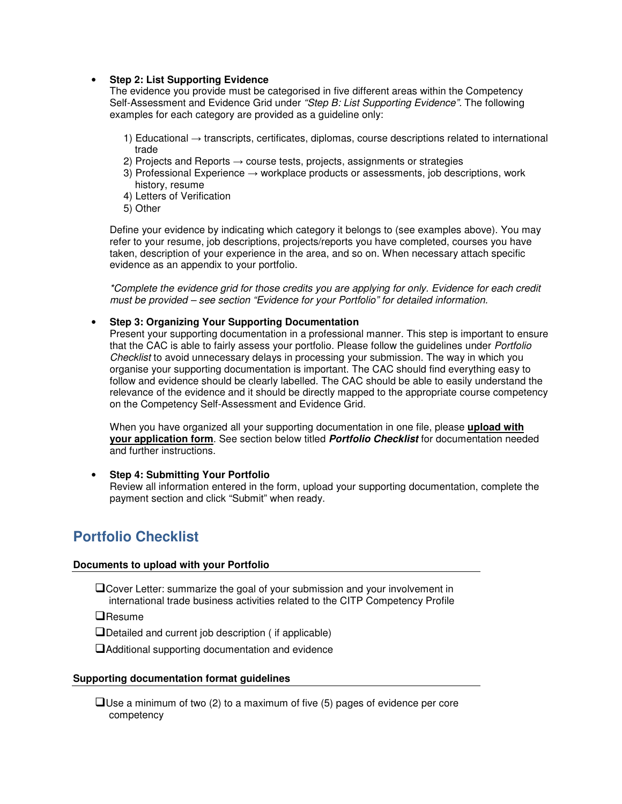#### • **Step 2: List Supporting Evidence**

The evidence you provide must be categorised in five different areas within the Competency Self-Assessment and Evidence Grid under "Step B: List Supporting Evidence". The following examples for each category are provided as a guideline only:

- 1) Educational → transcripts, certificates, diplomas, course descriptions related to international trade
- 2) Projects and Reports  $\rightarrow$  course tests, projects, assignments or strategies
- 3) Professional Experience  $\rightarrow$  workplace products or assessments, job descriptions, work history, resume
- 4) Letters of Verification
- 5) Other

Define your evidence by indicating which category it belongs to (see examples above). You may refer to your resume, job descriptions, projects/reports you have completed, courses you have taken, description of your experience in the area, and so on. When necessary attach specific evidence as an appendix to your portfolio.

\*Complete the evidence grid for those credits you are applying for only. Evidence for each credit must be provided – see section "Evidence for your Portfolio" for detailed information.

• **Step 3: Organizing Your Supporting Documentation**

Present your supporting documentation in a professional manner. This step is important to ensure that the CAC is able to fairly assess your portfolio. Please follow the guidelines under Portfolio Checklist to avoid unnecessary delays in processing your submission. The way in which you organise your supporting documentation is important. The CAC should find everything easy to follow and evidence should be clearly labelled. The CAC should be able to easily understand the relevance of the evidence and it should be directly mapped to the appropriate course competency on the Competency Self-Assessment and Evidence Grid.

When you have organized all your supporting documentation in one file, please **upload with your application form**. See section below titled **Portfolio Checklist** for documentation needed and further instructions.

### • **Step 4: Submitting Your Portfolio**

Review all information entered in the form, upload your supporting documentation, complete the payment section and click "Submit" when ready.

## **Portfolio Checklist**

### **Documents to upload with your Portfolio**

Cover Letter: summarize the goal of your submission and your involvement in international trade business activities related to the CITP Competency Profile

 $\Box$ Resume

 $\Box$  Detailed and current job description ( if applicable)

Additional supporting documentation and evidence

#### **Supporting documentation format guidelines**

 $\Box$  Use a minimum of two (2) to a maximum of five (5) pages of evidence per core competency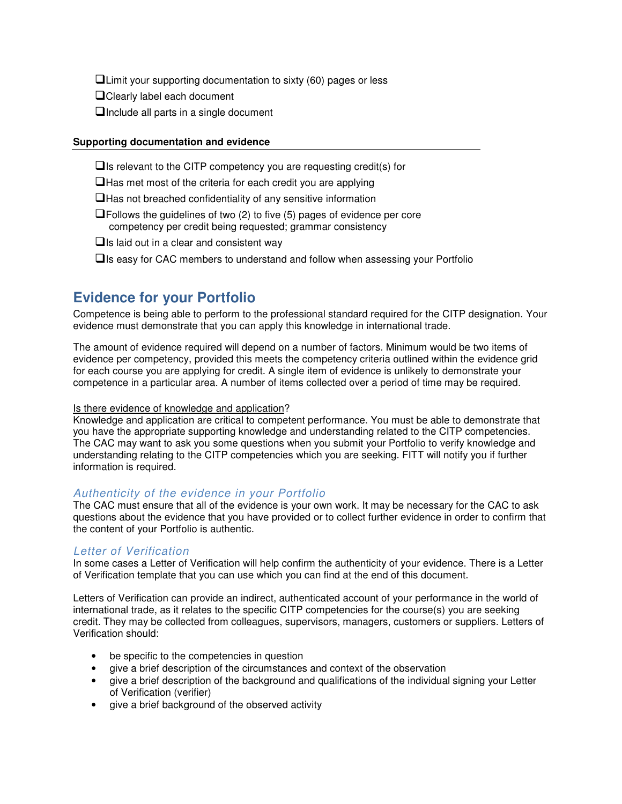$\Box$  Limit your supporting documentation to sixty (60) pages or less

- **QClearly label each document**
- $\Box$  Include all parts in a single document

#### **Supporting documentation and evidence**

 $\Box$  Is relevant to the CITP competency you are requesting credit(s) for

 $\Box$  Has met most of the criteria for each credit you are applying

 $\Box$  Has not breached confidentiality of any sensitive information

 $\Box$  Follows the guidelines of two (2) to five (5) pages of evidence per core competency per credit being requested; grammar consistency

 $\Box$  Is laid out in a clear and consistent way

 $\Box$  Is easy for CAC members to understand and follow when assessing your Portfolio

# **Evidence for your Portfolio**

Competence is being able to perform to the professional standard required for the CITP designation. Your evidence must demonstrate that you can apply this knowledge in international trade.

The amount of evidence required will depend on a number of factors. Minimum would be two items of evidence per competency, provided this meets the competency criteria outlined within the evidence grid for each course you are applying for credit. A single item of evidence is unlikely to demonstrate your competence in a particular area. A number of items collected over a period of time may be required.

#### Is there evidence of knowledge and application?

Knowledge and application are critical to competent performance. You must be able to demonstrate that you have the appropriate supporting knowledge and understanding related to the CITP competencies. The CAC may want to ask you some questions when you submit your Portfolio to verify knowledge and understanding relating to the CITP competencies which you are seeking. FITT will notify you if further information is required.

### Authenticity of the evidence in your Portfolio

The CAC must ensure that all of the evidence is your own work. It may be necessary for the CAC to ask questions about the evidence that you have provided or to collect further evidence in order to confirm that the content of your Portfolio is authentic.

### Letter of Verification

In some cases a Letter of Verification will help confirm the authenticity of your evidence. There is a Letter of Verification template that you can use which you can find at the end of this document.

Letters of Verification can provide an indirect, authenticated account of your performance in the world of international trade, as it relates to the specific CITP competencies for the course(s) you are seeking credit. They may be collected from colleagues, supervisors, managers, customers or suppliers. Letters of Verification should:

- be specific to the competencies in question
- give a brief description of the circumstances and context of the observation
- give a brief description of the background and qualifications of the individual signing your Letter of Verification (verifier)
- give a brief background of the observed activity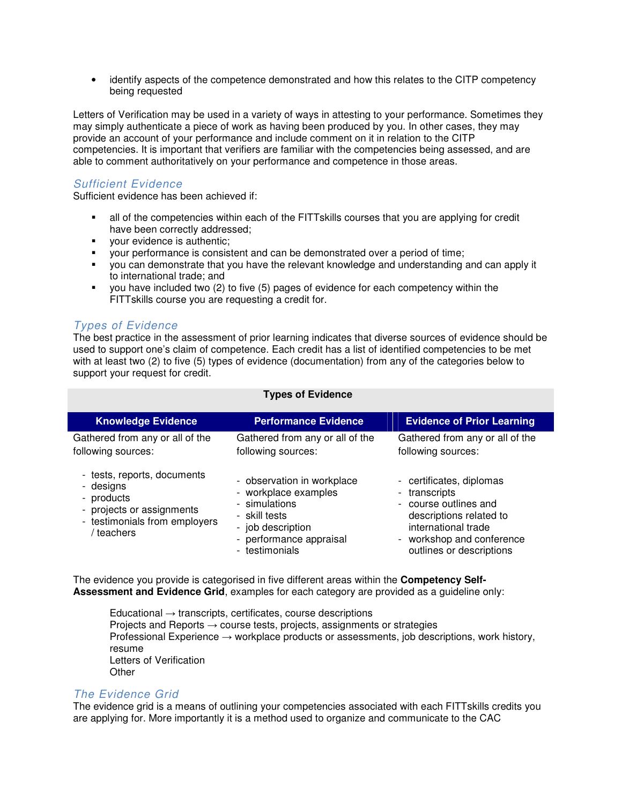• identify aspects of the competence demonstrated and how this relates to the CITP competency being requested

Letters of Verification may be used in a variety of ways in attesting to your performance. Sometimes they may simply authenticate a piece of work as having been produced by you. In other cases, they may provide an account of your performance and include comment on it in relation to the CITP competencies. It is important that verifiers are familiar with the competencies being assessed, and are able to comment authoritatively on your performance and competence in those areas.

### Sufficient Evidence

Sufficient evidence has been achieved if:

- all of the competencies within each of the FITTskills courses that you are applying for credit have been correctly addressed;
- your evidence is authentic;
- your performance is consistent and can be demonstrated over a period of time;
- you can demonstrate that you have the relevant knowledge and understanding and can apply it to international trade; and
- you have included two (2) to five (5) pages of evidence for each competency within the FITTskills course you are requesting a credit for.

### Types of Evidence

The best practice in the assessment of prior learning indicates that diverse sources of evidence should be used to support one's claim of competence. Each credit has a list of identified competencies to be met with at least two (2) to five (5) types of evidence (documentation) from any of the categories below to support your request for credit.

| <b>Knowledge Evidence</b>                                                                                                        | <b>Performance Evidence</b>                                                                                                                            | <b>Evidence of Prior Learning</b>                                                                                                                                             |
|----------------------------------------------------------------------------------------------------------------------------------|--------------------------------------------------------------------------------------------------------------------------------------------------------|-------------------------------------------------------------------------------------------------------------------------------------------------------------------------------|
| Gathered from any or all of the<br>following sources:                                                                            | Gathered from any or all of the<br>following sources:                                                                                                  | Gathered from any or all of the<br>following sources:                                                                                                                         |
| - tests, reports, documents<br>- designs<br>- products<br>- projects or assignments<br>- testimonials from employers<br>teachers | - observation in workplace<br>- workplace examples<br>- simulations<br>- skill tests<br>- job description<br>- performance appraisal<br>- testimonials | - certificates, diplomas<br>- transcripts<br>- course outlines and<br>descriptions related to<br>international trade<br>- workshop and conference<br>outlines or descriptions |

### **Types of Evidence**

The evidence you provide is categorised in five different areas within the **Competency Self-Assessment and Evidence Grid**, examples for each category are provided as a guideline only:

Educational  $\rightarrow$  transcripts, certificates, course descriptions Projects and Reports  $\rightarrow$  course tests, projects, assignments or strategies Professional Experience → workplace products or assessments, job descriptions, work history, resume Letters of Verification **Other** 

### The Evidence Grid

The evidence grid is a means of outlining your competencies associated with each FITTskills credits you are applying for. More importantly it is a method used to organize and communicate to the CAC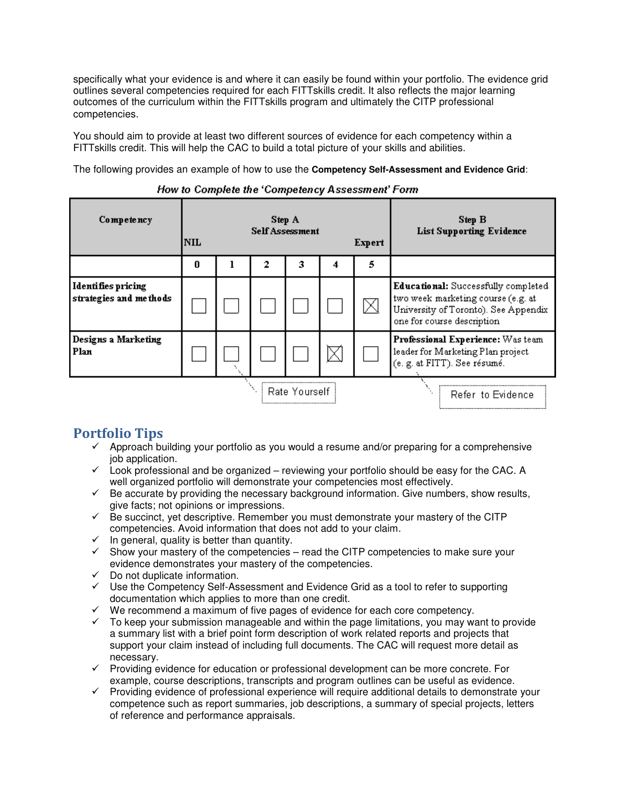specifically what your evidence is and where it can easily be found within your portfolio. The evidence grid outlines several competencies required for each FITTskills credit. It also reflects the major learning outcomes of the curriculum within the FITTskills program and ultimately the CITP professional competencies.

You should aim to provide at least two different sources of evidence for each competency within a FITTskills credit. This will help the CAC to build a total picture of your skills and abilities.

The following provides an example of how to use the **Competency Self-Assessment and Evidence Grid**:

| Competency                                          | <b>NIL</b> | Step A<br><b>Self Assessment</b><br>Expert |   |               |   |   | <b>Step B</b><br><b>List Supporting Evidence</b>                                                                                                |
|-----------------------------------------------------|------------|--------------------------------------------|---|---------------|---|---|-------------------------------------------------------------------------------------------------------------------------------------------------|
|                                                     | O          |                                            | 2 | з             | 4 | 5 |                                                                                                                                                 |
| <b>Identifies pricing</b><br>strategies and methods |            |                                            |   |               |   | ⊠ | Educational: Successfully completed<br>two week marketing course (e.g. at<br>University of Toronto). See Appendix<br>one for course description |
| Designs a Marketing<br>Plan                         |            |                                            |   |               |   |   | Professional Experience: Was team<br>leader for Marketing Plan project<br>(e. g. at FITT). See résumé.                                          |
|                                                     |            |                                            |   | Rate Yourself |   |   | Refer to Evidence                                                                                                                               |

#### How to Complete the 'Competency Assessment' Form

### Portfolio Tips

- $\checkmark$  Approach building your portfolio as you would a resume and/or preparing for a comprehensive job application.
- $\checkmark$  Look professional and be organized reviewing your portfolio should be easy for the CAC. A well organized portfolio will demonstrate your competencies most effectively.
- $\checkmark$  Be accurate by providing the necessary background information. Give numbers, show results, give facts; not opinions or impressions.
- $\checkmark$  Be succinct, yet descriptive. Remember you must demonstrate your mastery of the CITP competencies. Avoid information that does not add to your claim.
- $\checkmark$  In general, quality is better than quantity.
- $\checkmark$  Show your mastery of the competencies read the CITP competencies to make sure your evidence demonstrates your mastery of the competencies.
- $\checkmark$  Do not duplicate information.
- $\checkmark$  Use the Competency Self-Assessment and Evidence Grid as a tool to refer to supporting documentation which applies to more than one credit.
- $\checkmark$  We recommend a maximum of five pages of evidence for each core competency.
- $\checkmark$  To keep your submission manageable and within the page limitations, you may want to provide a summary list with a brief point form description of work related reports and projects that support your claim instead of including full documents. The CAC will request more detail as necessary.
- $\checkmark$  Providing evidence for education or professional development can be more concrete. For example, course descriptions, transcripts and program outlines can be useful as evidence.
- $\checkmark$  Providing evidence of professional experience will require additional details to demonstrate your competence such as report summaries, job descriptions, a summary of special projects, letters of reference and performance appraisals.